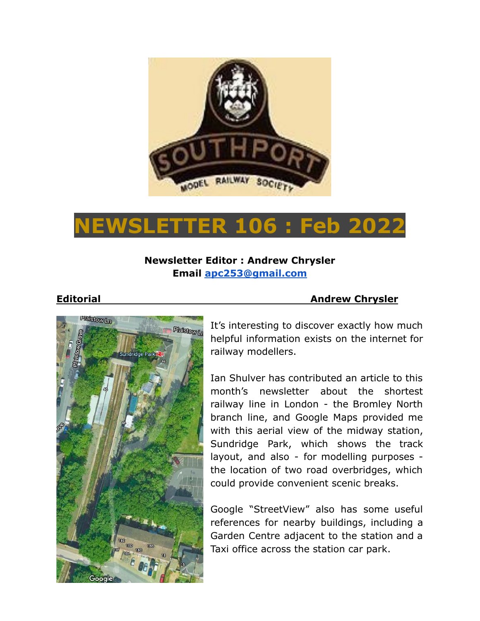

# **NEWSLETTER 106 : Feb 2022**

# **Newsletter Editor : Andrew Chrysler Email [apc253@gmail.com](mailto:apc253@gmail.com)**

### **Editorial Andrew Chrysler**



It's interesting to discover exactly how much helpful information exists on the internet for railway modellers.

Ian Shulver has contributed an article to this month's newsletter about the shortest railway line in London - the Bromley North branch line, and Google Maps provided me with this aerial view of the midway station, Sundridge Park, which shows the track layout, and also - for modelling purposes the location of two road overbridges, which could provide convenient scenic breaks.

Google "StreetView" also has some useful references for nearby buildings, including a Garden Centre adjacent to the station and a Taxi office across the station car park.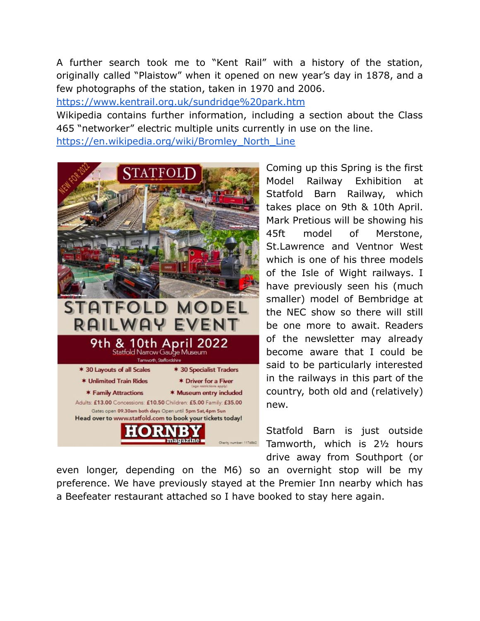A further search took me to "Kent Rail" with a history of the station, originally called "Plaistow" when it opened on new year's day in 1878, and a few photographs of the station, taken in 1970 and 2006.

<https://www.kentrail.org.uk/sundridge%20park.htm>

Wikipedia contains further information, including a section about the Class 465 "networker" electric multiple units currently in use on the line.

[https://en.wikipedia.org/wiki/Bromley\\_North\\_Line](https://en.wikipedia.org/wiki/Bromley_North_Line)



Coming up this Spring is the first Model Railway Exhibition at Statfold Barn Railway, which takes place on 9th & 10th April. Mark Pretious will be showing his 45ft model of Merstone, St.Lawrence and Ventnor West which is one of his three models of the Isle of Wight railways. I have previously seen his (much smaller) model of Bembridge at the NEC show so there will still be one more to await. Readers of the newsletter may already become aware that I could be said to be particularly interested in the railways in this part of the country, both old and (relatively) new.

Statfold Barn is just outside Tamworth, which is 2½ hours drive away from Southport (or

even longer, depending on the M6) so an overnight stop will be my preference. We have previously stayed at the Premier Inn nearby which has a Beefeater restaurant attached so I have booked to stay here again.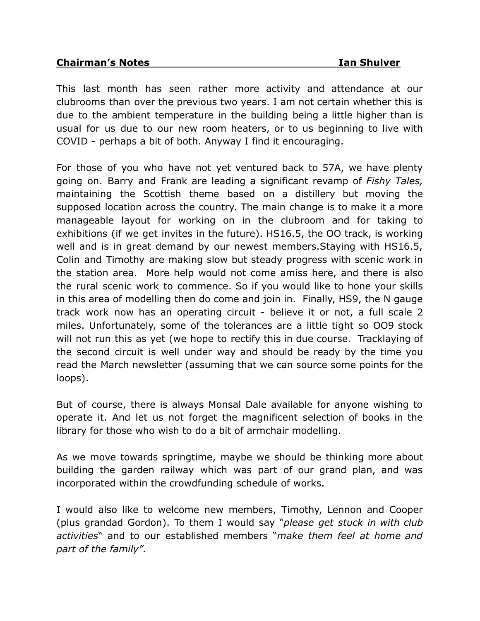### **Chairman's Notes Ian Shulver**

This last month has seen rather more activity and attendance at our clubrooms than over the previous two years. I am not certain whether this is due to the ambient temperature in the building being a little higher than is usual for us due to our new room heaters, or to us beginning to live with COVID - perhaps a bit of both. Anyway I find it encouraging.

For those of you who have not yet ventured back to 57A, we have plenty going on. Barry and Frank are leading a significant revamp of *Fishy Tales,* maintaining the Scottish theme based on a distillery but moving the supposed location across the country. The main change is to make it a more manageable layout for working on in the clubroom and for taking to exhibitions (if we get invites in the future). HS16.5, the OO track, is working well and is in great demand by our newest members.Staying with HS16.5, Colin and Timothy are making slow but steady progress with scenic work in the station area. More help would not come amiss here, and there is also the rural scenic work to commence. So if you would like to hone your skills in this area of modelling then do come and join in. Finally, HS9, the N gauge track work now has an operating circuit - believe it or not, a full scale 2 miles. Unfortunately, some of the tolerances are a little tight so OO9 stock will not run this as yet (we hope to rectify this in due course. Tracklaying of the second circuit is well under way and should be ready by the time you read the March newsletter (assuming that we can source some points for the loops).

But of course, there is always Monsal Dale available for anyone wishing to operate it. And let us not forget the magnificent selection of books in the library for those who wish to do a bit of armchair modelling.

As we move towards springtime, maybe we should be thinking more about building the garden railway which was part of our grand plan, and was incorporated within the crowdfunding schedule of works.

I would also like to welcome new members, Timothy, Lennon and Cooper (plus grandad Gordon). To them I would say "*please get stuck in with club activities*" and to our established members "*make them feel at home and part of the family".*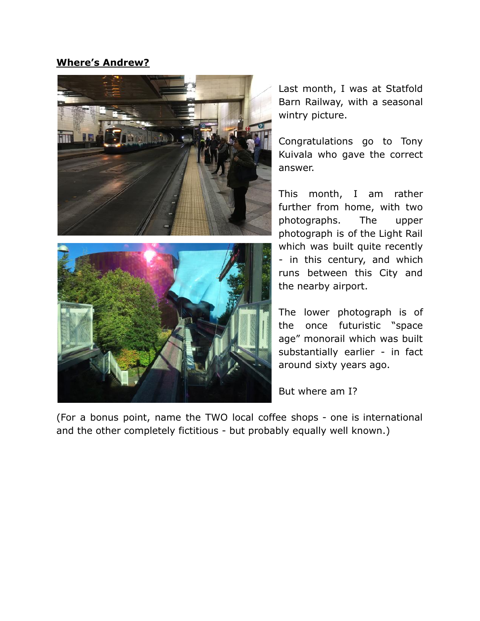# **Where's Andrew?**





Congratulations go to Tony Kuivala who gave the correct answer.

This month, I am rather further from home, with two photographs. The upper photograph is of the Light Rail which was built quite recently - in this century, and which runs between this City and the nearby airport.

The lower photograph is of the once futuristic "space age" monorail which was built substantially earlier - in fact around sixty years ago.

But where am I?

(For a bonus point, name the TWO local coffee shops - one is international and the other completely fictitious - but probably equally well known.)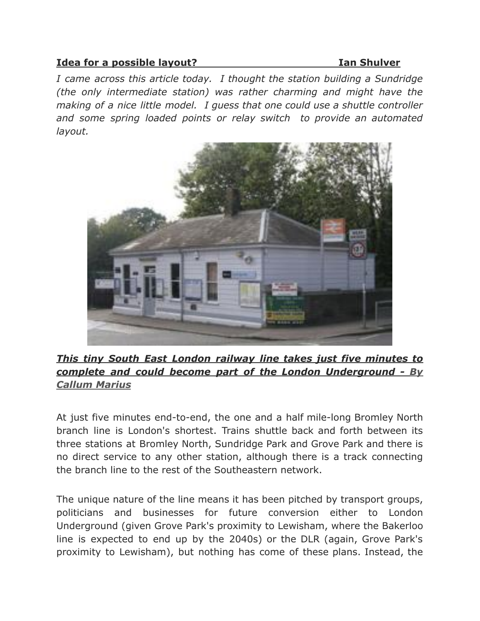## **Idea for a possible layout? Ian Shulver**

*I came across this article today. I thought the station building a Sundridge (the only intermediate station) was rather charming and might have the making of a nice little model. I guess that one could use a shuttle controller and some spring loaded points or relay switch to provide an automated layout.*



# *This tiny South East London railway line takes just five minutes to complete and could become part of the London Underground - By Callum Marius*

At just five minutes end-to-end, the one and a half mile-long Bromley North branch line is London's shortest. Trains shuttle back and forth between its three stations at Bromley North, Sundridge Park and Grove Park and there is no direct service to any other station, although there is a track connecting the branch line to the rest of the Southeastern network.

The unique nature of the line means it has been pitched by transport groups, politicians and businesses for future conversion either to London Underground (given Grove Park's proximity to Lewisham, where the Bakerloo line is expected to end up by the 2040s) or the DLR (again, Grove Park's proximity to Lewisham), but nothing has come of these plans. Instead, the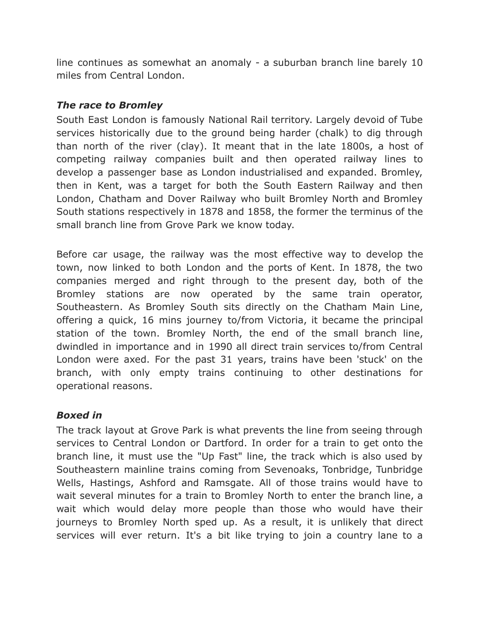line continues as somewhat an anomaly - a suburban branch line barely 10 miles from Central London.

# *The race to Bromley*

South East London is famously National Rail territory. Largely devoid of Tube services historically due to the ground being harder (chalk) to dig through than north of the river (clay). It meant that in the late 1800s, a host of competing railway companies built and then operated railway lines to develop a passenger base as London industrialised and expanded. Bromley, then in Kent, was a target for both the South Eastern Railway and then London, Chatham and Dover Railway who built Bromley North and Bromley South stations respectively in 1878 and 1858, the former the terminus of the small branch line from Grove Park we know today.

Before car usage, the railway was the most effective way to develop the town, now linked to both London and the ports of Kent. In 1878, the two companies merged and right through to the present day, both of the Bromley stations are now operated by the same train operator, Southeastern. As Bromley South sits directly on the Chatham Main Line, offering a quick, 16 mins journey to/from Victoria, it became the principal station of the town. Bromley North, the end of the small branch line, dwindled in importance and in 1990 all direct train services to/from Central London were axed. For the past 31 years, trains have been 'stuck' on the branch, with only empty trains continuing to other destinations for operational reasons.

# *Boxed in*

The track layout at Grove Park is what prevents the line from seeing through services to Central London or Dartford. In order for a train to get onto the branch line, it must use the "Up Fast" line, the track which is also used by Southeastern mainline trains coming from Sevenoaks, Tonbridge, Tunbridge Wells, Hastings, Ashford and Ramsgate. All of those trains would have to wait several minutes for a train to Bromley North to enter the branch line, a wait which would delay more people than those who would have their journeys to Bromley North sped up. As a result, it is unlikely that direct services will ever return. It's a bit like trying to join a country lane to a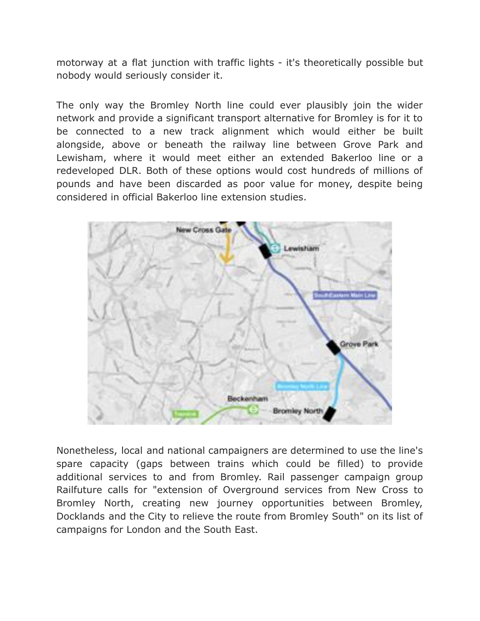motorway at a flat junction with traffic lights - it's theoretically possible but nobody would seriously consider it.

The only way the Bromley North line could ever plausibly join the wider network and provide a significant transport alternative for Bromley is for it to be connected to a new track alignment which would either be built alongside, above or beneath the railway line between Grove Park and Lewisham, where it would meet either an extended Bakerloo line or a redeveloped DLR. Both of these options would cost hundreds of millions of pounds and have been discarded as poor value for money, despite being considered in official Bakerloo line extension studies.



Nonetheless, local and national campaigners are determined to use the line's spare capacity (gaps between trains which could be filled) to provide additional services to and from Bromley. Rail passenger campaign group Railfuture calls for "extension of Overground services from New Cross to Bromley North, creating new journey opportunities between Bromley, Docklands and the City to relieve the route from Bromley South" on its list of campaigns for London and the South East.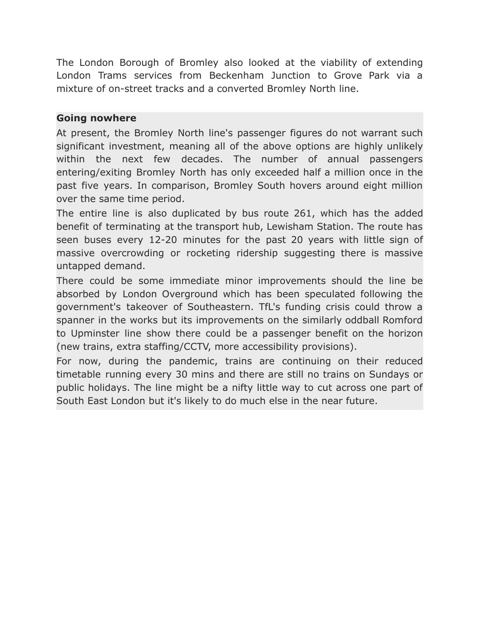The London Borough of Bromley also looked at the viability of extending London Trams services from Beckenham Junction to Grove Park via a mixture of on-street tracks and a converted Bromley North line.

# **Going nowhere**

At present, the Bromley North line's passenger figures do not warrant such significant investment, meaning all of the above options are highly unlikely within the next few decades. The number of annual passengers entering/exiting Bromley North has only exceeded half a million once in the past five years. In comparison, Bromley South hovers around eight million over the same time period.

The entire line is also duplicated by bus route 261, which has the added benefit of terminating at the transport hub, Lewisham Station. The route has seen buses every 12-20 minutes for the past 20 years with little sign of massive overcrowding or rocketing ridership suggesting there is massive untapped demand.

There could be some immediate minor improvements should the line be absorbed by London Overground which has been speculated following the government's takeover of Southeastern. TfL's funding crisis could throw a spanner in the works but its improvements on the similarly oddball Romford to Upminster line show there could be a passenger benefit on the horizon (new trains, extra staffing/CCTV, more accessibility provisions).

For now, during the pandemic, trains are continuing on their reduced timetable running every 30 mins and there are still no trains on Sundays or public holidays. The line might be a nifty little way to cut across one part of South East London but it's likely to do much else in the near future.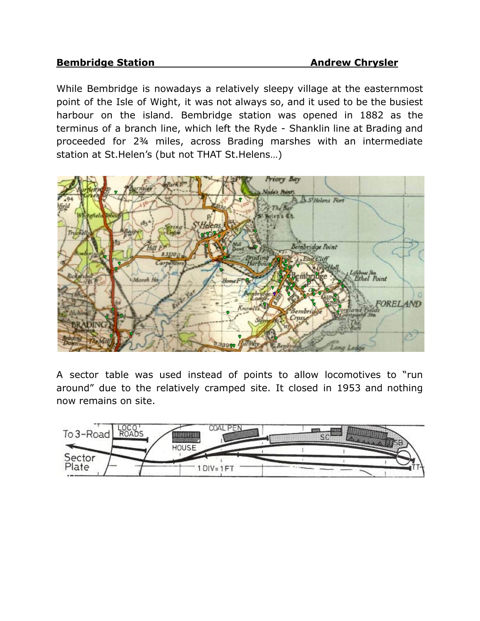### **Bembridge Station Andrew Chrysler**

While Bembridge is nowadays a relatively sleepy village at the easternmost point of the Isle of Wight, it was not always so, and it used to be the busiest harbour on the island. Bembridge station was opened in 1882 as the terminus of a branch line, which left the Ryde - Shanklin line at Brading and proceeded for 2¾ miles, across Brading marshes with an intermediate station at St.Helen's (but not THAT St.Helens…)



A sector table was used instead of points to allow locomotives to "run around" due to the relatively cramped site. It closed in 1953 and nothing now remains on site.

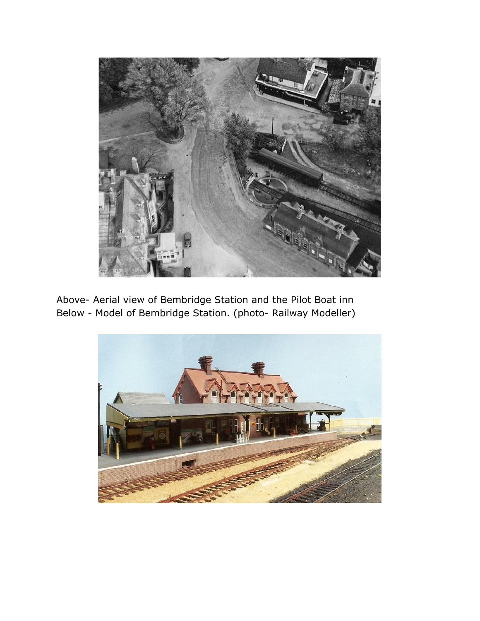

Above- Aerial view of Bembridge Station and the Pilot Boat inn Below - Model of Bembridge Station. (photo- Railway Modeller)

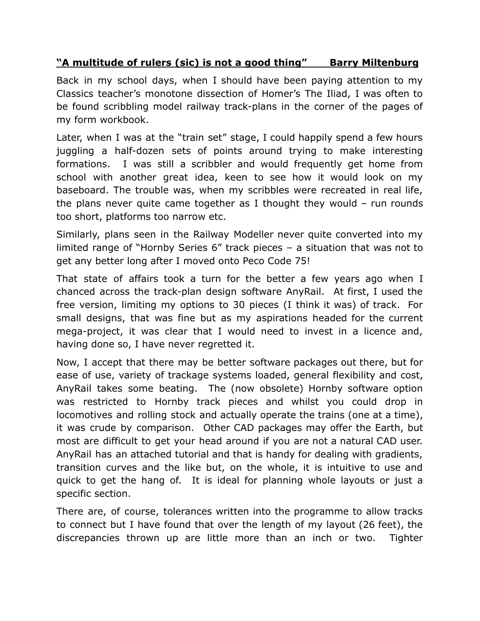# **"A multitude of rulers (sic) is not a good thing" Barry Miltenburg**

Back in my school days, when I should have been paying attention to my Classics teacher's monotone dissection of Homer's The Iliad, I was often to be found scribbling model railway track-plans in the corner of the pages of my form workbook.

Later, when I was at the "train set" stage, I could happily spend a few hours juggling a half-dozen sets of points around trying to make interesting formations. I was still a scribbler and would frequently get home from school with another great idea, keen to see how it would look on my baseboard. The trouble was, when my scribbles were recreated in real life, the plans never quite came together as I thought they would – run rounds too short, platforms too narrow etc.

Similarly, plans seen in the Railway Modeller never quite converted into my limited range of "Hornby Series 6" track pieces – a situation that was not to get any better long after I moved onto Peco Code 75!

That state of affairs took a turn for the better a few years ago when I chanced across the track-plan design software AnyRail. At first, I used the free version, limiting my options to 30 pieces (I think it was) of track. For small designs, that was fine but as my aspirations headed for the current mega-project, it was clear that I would need to invest in a licence and, having done so, I have never regretted it.

Now, I accept that there may be better software packages out there, but for ease of use, variety of trackage systems loaded, general flexibility and cost, AnyRail takes some beating. The (now obsolete) Hornby software option was restricted to Hornby track pieces and whilst you could drop in locomotives and rolling stock and actually operate the trains (one at a time), it was crude by comparison. Other CAD packages may offer the Earth, but most are difficult to get your head around if you are not a natural CAD user. AnyRail has an attached tutorial and that is handy for dealing with gradients, transition curves and the like but, on the whole, it is intuitive to use and quick to get the hang of. It is ideal for planning whole layouts or just a specific section.

There are, of course, tolerances written into the programme to allow tracks to connect but I have found that over the length of my layout (26 feet), the discrepancies thrown up are little more than an inch or two. Tighter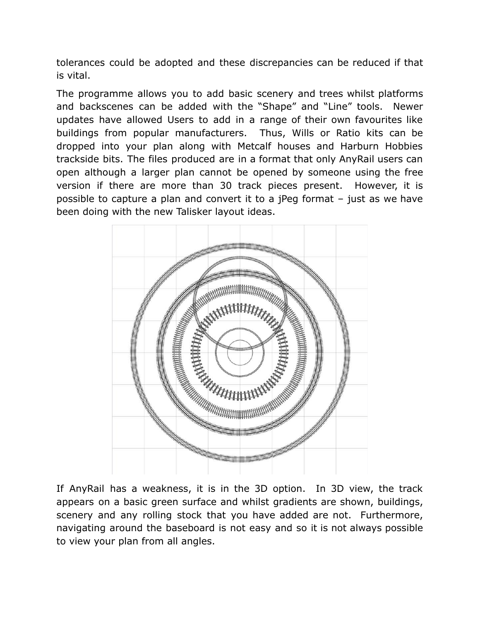tolerances could be adopted and these discrepancies can be reduced if that is vital.

The programme allows you to add basic scenery and trees whilst platforms and backscenes can be added with the "Shape" and "Line" tools. Newer updates have allowed Users to add in a range of their own favourites like buildings from popular manufacturers. Thus, Wills or Ratio kits can be dropped into your plan along with Metcalf houses and Harburn Hobbies trackside bits. The files produced are in a format that only AnyRail users can open although a larger plan cannot be opened by someone using the free version if there are more than 30 track pieces present. However, it is possible to capture a plan and convert it to a jPeg format – just as we have been doing with the new Talisker layout ideas.



If AnyRail has a weakness, it is in the 3D option. In 3D view, the track appears on a basic green surface and whilst gradients are shown, buildings, scenery and any rolling stock that you have added are not. Furthermore, navigating around the baseboard is not easy and so it is not always possible to view your plan from all angles.